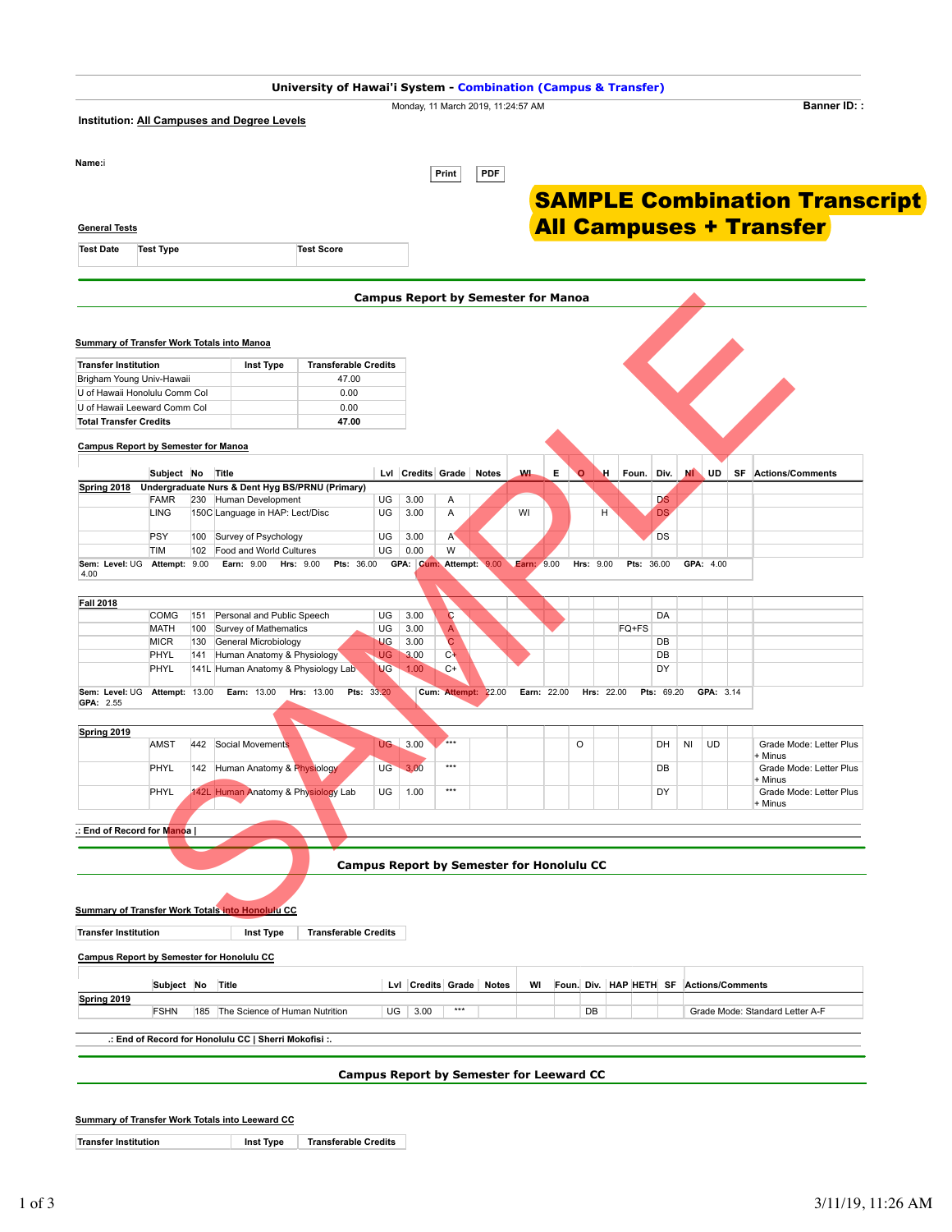| Institution: All Campuses and Degree Levels<br>Name:i<br><b>General Tests</b><br><b>Test Date</b><br><b>Test Type</b><br><b>Summary of Transfer Work Totals into Manoa</b><br><b>Transfer Institution</b><br>Brigham Young Univ-Hawaii<br>U of Hawaii Leeward Comm Col<br><b>Total Transfer Credits</b><br><b>Campus Report by Semester for Manoa</b> |                       |       | <b>Inst Type</b>                                         | <b>Test Score</b>                               |                 |                   | Print                                          | Monday, 11 March 2019, 11:24:57 AM<br><b>PDF</b><br><b>Campus Report by Semester for Manoa</b> |    |             |           |            | <b>All Campuses + Transfer</b> |    |                         |    | <b>Banner ID::</b><br><b>SAMPLE Combination Transcript</b> |
|-------------------------------------------------------------------------------------------------------------------------------------------------------------------------------------------------------------------------------------------------------------------------------------------------------------------------------------------------------|-----------------------|-------|----------------------------------------------------------|-------------------------------------------------|-----------------|-------------------|------------------------------------------------|------------------------------------------------------------------------------------------------|----|-------------|-----------|------------|--------------------------------|----|-------------------------|----|------------------------------------------------------------|
|                                                                                                                                                                                                                                                                                                                                                       |                       |       |                                                          |                                                 |                 |                   |                                                |                                                                                                |    |             |           |            |                                |    |                         |    |                                                            |
|                                                                                                                                                                                                                                                                                                                                                       |                       |       |                                                          |                                                 |                 |                   |                                                |                                                                                                |    |             |           |            |                                |    |                         |    |                                                            |
|                                                                                                                                                                                                                                                                                                                                                       |                       |       |                                                          |                                                 |                 |                   |                                                |                                                                                                |    |             |           |            |                                |    |                         |    |                                                            |
|                                                                                                                                                                                                                                                                                                                                                       |                       |       |                                                          |                                                 |                 |                   |                                                |                                                                                                |    |             |           |            |                                |    |                         |    |                                                            |
|                                                                                                                                                                                                                                                                                                                                                       |                       |       |                                                          |                                                 |                 |                   |                                                |                                                                                                |    |             |           |            |                                |    |                         |    |                                                            |
|                                                                                                                                                                                                                                                                                                                                                       |                       |       |                                                          |                                                 |                 |                   |                                                |                                                                                                |    |             |           |            |                                |    |                         |    |                                                            |
|                                                                                                                                                                                                                                                                                                                                                       |                       |       |                                                          |                                                 |                 |                   |                                                |                                                                                                |    |             |           |            |                                |    |                         |    |                                                            |
|                                                                                                                                                                                                                                                                                                                                                       |                       |       |                                                          |                                                 |                 |                   |                                                |                                                                                                |    |             |           |            |                                |    |                         |    |                                                            |
|                                                                                                                                                                                                                                                                                                                                                       |                       |       |                                                          |                                                 |                 |                   |                                                |                                                                                                |    |             |           |            |                                |    |                         |    |                                                            |
|                                                                                                                                                                                                                                                                                                                                                       |                       |       |                                                          |                                                 |                 |                   |                                                |                                                                                                |    |             |           |            |                                |    |                         |    |                                                            |
|                                                                                                                                                                                                                                                                                                                                                       |                       |       |                                                          | <b>Transferable Credits</b>                     |                 |                   |                                                |                                                                                                |    |             |           |            |                                |    |                         |    |                                                            |
|                                                                                                                                                                                                                                                                                                                                                       |                       |       | 47.00<br>U of Hawaii Honolulu Comm Col<br>0.00           |                                                 |                 |                   |                                                |                                                                                                |    |             |           |            |                                |    |                         |    |                                                            |
|                                                                                                                                                                                                                                                                                                                                                       |                       |       |                                                          | 0.00                                            |                 |                   |                                                |                                                                                                |    |             |           |            |                                |    |                         |    |                                                            |
|                                                                                                                                                                                                                                                                                                                                                       |                       |       |                                                          | 47.00                                           |                 |                   |                                                |                                                                                                |    |             |           |            |                                |    |                         |    |                                                            |
|                                                                                                                                                                                                                                                                                                                                                       |                       |       |                                                          |                                                 |                 |                   |                                                |                                                                                                |    |             |           |            |                                |    |                         |    |                                                            |
|                                                                                                                                                                                                                                                                                                                                                       | Subject No            | Title |                                                          |                                                 |                 | Lvl Credits Grade |                                                | <b>Notes</b>                                                                                   | W. | Е           | o         | Η.         | Foun.<br>Div.                  | мI | UD                      | SF | <b>Actions/Comments</b>                                    |
| <b>Spring 2018</b>                                                                                                                                                                                                                                                                                                                                    |                       |       |                                                          | Undergraduate Nurs & Dent Hyg BS/PRNU (Primary) |                 |                   |                                                |                                                                                                |    |             |           |            |                                |    |                         |    |                                                            |
| <b>FAMR</b><br><b>LING</b>                                                                                                                                                                                                                                                                                                                            |                       |       | 230 Human Development<br>150C Language in HAP: Lect/Disc |                                                 | UG<br>UG        | 3.00<br>3.00      | Α<br>Α                                         |                                                                                                | WI |             |           | н          | <b>DS</b><br><b>DS</b>         |    |                         |    |                                                            |
|                                                                                                                                                                                                                                                                                                                                                       |                       |       |                                                          |                                                 |                 |                   |                                                |                                                                                                |    |             |           |            |                                |    |                         |    |                                                            |
| <b>PSY</b><br>TIM                                                                                                                                                                                                                                                                                                                                     | 100                   |       | Survey of Psychology<br>102 Food and World Cultures      |                                                 | UG<br>UG        | 3.00<br>0.00      | $A^{\prime}$<br>W                              |                                                                                                |    |             |           |            | DS                             |    |                         |    |                                                            |
| Sem: Level: UG Attempt: 9.00                                                                                                                                                                                                                                                                                                                          |                       |       | <b>Earn: 9.00</b>                                        | <b>Pts: 36.00</b><br><b>Hrs: 9.00</b>           |                 | GPA: Cum:         |                                                | Attempt: 9.00 Earn: 9.00                                                                       |    |             | Hrs: 9.00 |            | <b>Pts: 36.00</b>              |    | GPA: 4.00               |    |                                                            |
| 4.00                                                                                                                                                                                                                                                                                                                                                  |                       |       |                                                          |                                                 |                 |                   |                                                |                                                                                                |    |             |           |            |                                |    |                         |    |                                                            |
| <b>Fall 2018</b>                                                                                                                                                                                                                                                                                                                                      |                       |       |                                                          |                                                 |                 |                   |                                                |                                                                                                |    |             |           |            |                                |    |                         |    |                                                            |
| <b>COMG</b>                                                                                                                                                                                                                                                                                                                                           | 151                   |       | Personal and Public Speech                               |                                                 | UG              | 3.00              | C                                              |                                                                                                |    |             |           |            | DA                             |    |                         |    |                                                            |
| <b>MATH</b><br><b>MICR</b>                                                                                                                                                                                                                                                                                                                            | 100<br>130            |       | Survey of Mathematics<br>General Microbiology            |                                                 | UG<br><b>UG</b> | 3.00<br>3.00      | $\mathsf{A}$<br>C                              |                                                                                                |    |             |           | FQ+FS      | DB                             |    |                         |    |                                                            |
| PHYL                                                                                                                                                                                                                                                                                                                                                  | 141                   |       | Human Anatomy & Physiology                               |                                                 | <b>UG</b>       | 3.00              | $C +$                                          |                                                                                                |    |             |           |            | DB                             |    |                         |    |                                                            |
| PHYL                                                                                                                                                                                                                                                                                                                                                  |                       |       | 141L Human Anatomy & Physiology Lab                      |                                                 | <b>UG</b>       | 1.00              | $C+$                                           |                                                                                                |    |             |           |            | DY                             |    |                         |    |                                                            |
| Sem: Level: UG<br>GPA: 2.55                                                                                                                                                                                                                                                                                                                           | <b>Attempt: 13.00</b> |       | Earn: 13.00                                              | Pts: 33.20<br>Hrs: 13.00                        |                 |                   |                                                | Cum: Attempt: 22.00                                                                            |    | Earn: 22.00 |           | Hrs: 22.00 | Pts: 69.20                     |    | GPA: 3.14               |    |                                                            |
| Spring 2019                                                                                                                                                                                                                                                                                                                                           |                       |       |                                                          |                                                 |                 |                   |                                                |                                                                                                |    |             |           |            |                                |    |                         |    |                                                            |
| <b>AMST</b>                                                                                                                                                                                                                                                                                                                                           | 442                   |       | Social Movements                                         |                                                 | UG-             | 3.00              | $***$                                          |                                                                                                |    |             | O         |            | DH                             | NI | UD                      |    | Grade Mode: Letter Plus                                    |
| PHYL                                                                                                                                                                                                                                                                                                                                                  |                       |       | 142 Human Anatomy & Physiology                           |                                                 | UG <sup>-</sup> | 3.00              | $***$                                          |                                                                                                |    |             |           |            | DB                             |    |                         |    | + Minus<br>Grade Mode: Letter Plus                         |
|                                                                                                                                                                                                                                                                                                                                                       |                       |       |                                                          |                                                 |                 |                   | $***$                                          |                                                                                                |    |             |           |            |                                |    |                         |    | + Minus                                                    |
| PHYL                                                                                                                                                                                                                                                                                                                                                  |                       |       | 142L Human Anatomy & Physiology Lab                      |                                                 | UG              | 1.00              |                                                |                                                                                                |    |             |           |            | DY                             |    |                         |    | Grade Mode: Letter Plus<br>+ Minus                         |
|                                                                                                                                                                                                                                                                                                                                                       |                       |       |                                                          |                                                 |                 |                   |                                                |                                                                                                |    |             |           |            |                                |    |                         |    |                                                            |
| .: End of Record for M <mark>ano</mark> a                                                                                                                                                                                                                                                                                                             |                       |       |                                                          |                                                 |                 |                   |                                                |                                                                                                |    |             |           |            |                                |    |                         |    |                                                            |
|                                                                                                                                                                                                                                                                                                                                                       |                       |       |                                                          |                                                 |                 |                   |                                                | <b>Campus Report by Semester for Honolulu CC</b>                                               |    |             |           |            |                                |    |                         |    |                                                            |
|                                                                                                                                                                                                                                                                                                                                                       |                       |       |                                                          |                                                 |                 |                   |                                                |                                                                                                |    |             |           |            |                                |    |                         |    |                                                            |
| <b>Summary of Transfer Work Totals into Honolulu CC</b>                                                                                                                                                                                                                                                                                               |                       |       |                                                          |                                                 |                 |                   |                                                |                                                                                                |    |             |           |            |                                |    |                         |    |                                                            |
| <b>Transfer Institution</b>                                                                                                                                                                                                                                                                                                                           |                       |       | Inst Type                                                | <b>Transferable Credits</b>                     |                 |                   |                                                |                                                                                                |    |             |           |            |                                |    |                         |    |                                                            |
| <b>Campus Report by Semester for Honolulu CC</b>                                                                                                                                                                                                                                                                                                      |                       |       |                                                          |                                                 |                 |                   |                                                |                                                                                                |    |             |           |            |                                |    |                         |    |                                                            |
|                                                                                                                                                                                                                                                                                                                                                       | Subject No Title      |       |                                                          |                                                 |                 |                   |                                                | Lvl Credits Grade Notes                                                                        | WI |             |           |            | Foun. Div. HAP HETH SF         |    | <b>Actions/Comments</b> |    |                                                            |
| Spring 2019<br><b>FSHN</b>                                                                                                                                                                                                                                                                                                                            |                       |       | 185 The Science of Human Nutrition                       |                                                 | UG              | 3.00              | $***$<br>DB<br>Grade Mode: Standard Letter A-F |                                                                                                |    |             |           |            |                                |    |                         |    |                                                            |
|                                                                                                                                                                                                                                                                                                                                                       |                       |       | .: End of Record for Honolulu CC   Sherri Mokofisi :.    |                                                 |                 |                   |                                                |                                                                                                |    |             |           |            |                                |    |                         |    |                                                            |
|                                                                                                                                                                                                                                                                                                                                                       |                       |       |                                                          |                                                 |                 |                   |                                                |                                                                                                |    |             |           |            |                                |    |                         |    |                                                            |
|                                                                                                                                                                                                                                                                                                                                                       |                       |       |                                                          |                                                 |                 |                   |                                                | <b>Campus Report by Semester for Leeward CC</b>                                                |    |             |           |            |                                |    |                         |    |                                                            |
|                                                                                                                                                                                                                                                                                                                                                       |                       |       |                                                          |                                                 |                 |                   |                                                |                                                                                                |    |             |           |            |                                |    |                         |    |                                                            |
| Summary of Transfer Work Totals into Leeward CC                                                                                                                                                                                                                                                                                                       |                       |       |                                                          |                                                 |                 |                   |                                                |                                                                                                |    |             |           |            |                                |    |                         |    |                                                            |
| <b>Transfer Institution</b>                                                                                                                                                                                                                                                                                                                           |                       |       | <b>Inst Type</b>                                         | <b>Transferable Credits</b>                     |                 |                   |                                                |                                                                                                |    |             |           |            |                                |    |                         |    |                                                            |
|                                                                                                                                                                                                                                                                                                                                                       |                       |       |                                                          |                                                 |                 |                   |                                                |                                                                                                |    |             |           |            |                                |    |                         |    |                                                            |